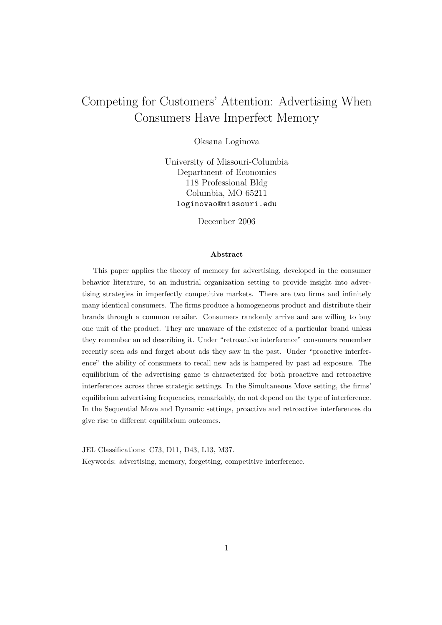# Competing for Customers' Attention: Advertising When Consumers Have Imperfect Memory

Oksana Loginova

University of Missouri-Columbia Department of Economics 118 Professional Bldg Columbia, MO 65211 loginovao@missouri.edu

December 2006

#### Abstract

This paper applies the theory of memory for advertising, developed in the consumer behavior literature, to an industrial organization setting to provide insight into advertising strategies in imperfectly competitive markets. There are two firms and infinitely many identical consumers. The firms produce a homogeneous product and distribute their brands through a common retailer. Consumers randomly arrive and are willing to buy one unit of the product. They are unaware of the existence of a particular brand unless they remember an ad describing it. Under "retroactive interference" consumers remember recently seen ads and forget about ads they saw in the past. Under "proactive interference" the ability of consumers to recall new ads is hampered by past ad exposure. The equilibrium of the advertising game is characterized for both proactive and retroactive interferences across three strategic settings. In the Simultaneous Move setting, the firms' equilibrium advertising frequencies, remarkably, do not depend on the type of interference. In the Sequential Move and Dynamic settings, proactive and retroactive interferences do give rise to different equilibrium outcomes.

JEL Classifications: C73, D11, D43, L13, M37. Keywords: advertising, memory, forgetting, competitive interference.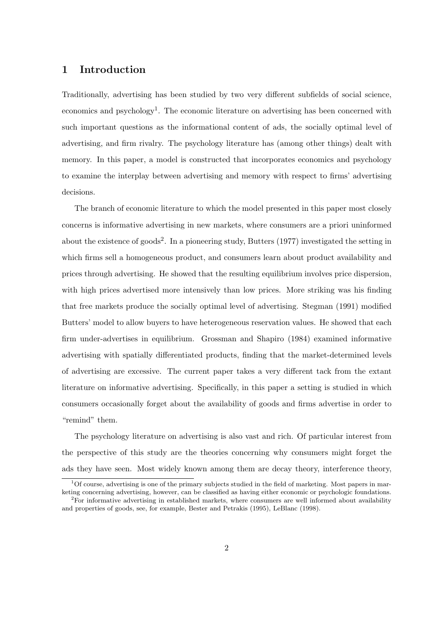# 1 Introduction

Traditionally, advertising has been studied by two very different subfields of social science, economics and psychology<sup>1</sup>. The economic literature on advertising has been concerned with such important questions as the informational content of ads, the socially optimal level of advertising, and firm rivalry. The psychology literature has (among other things) dealt with memory. In this paper, a model is constructed that incorporates economics and psychology to examine the interplay between advertising and memory with respect to firms' advertising decisions.

The branch of economic literature to which the model presented in this paper most closely concerns is informative advertising in new markets, where consumers are a priori uninformed about the existence of goods<sup>2</sup>. In a pioneering study, Butters  $(1977)$  investigated the setting in which firms sell a homogeneous product, and consumers learn about product availability and prices through advertising. He showed that the resulting equilibrium involves price dispersion, with high prices advertised more intensively than low prices. More striking was his finding that free markets produce the socially optimal level of advertising. Stegman (1991) modified Butters' model to allow buyers to have heterogeneous reservation values. He showed that each firm under-advertises in equilibrium. Grossman and Shapiro (1984) examined informative advertising with spatially differentiated products, finding that the market-determined levels of advertising are excessive. The current paper takes a very different tack from the extant literature on informative advertising. Specifically, in this paper a setting is studied in which consumers occasionally forget about the availability of goods and firms advertise in order to "remind" them.

The psychology literature on advertising is also vast and rich. Of particular interest from the perspective of this study are the theories concerning why consumers might forget the ads they have seen. Most widely known among them are decay theory, interference theory,

 $1$ Of course, advertising is one of the primary subjects studied in the field of marketing. Most papers in marketing concerning advertising, however, can be classified as having either economic or psychologic foundations.

<sup>2</sup>For informative advertising in established markets, where consumers are well informed about availability and properties of goods, see, for example, Bester and Petrakis (1995), LeBlanc (1998).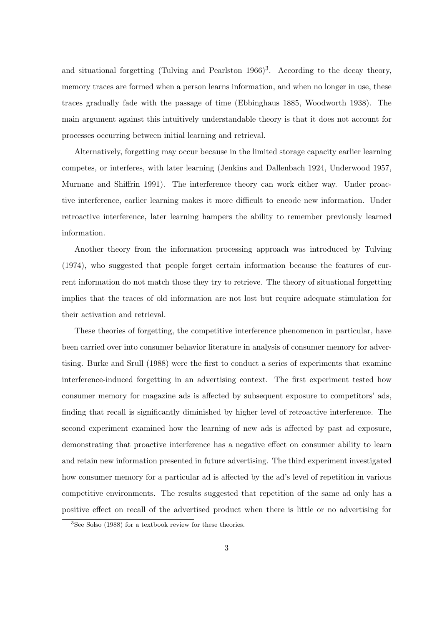and situational forgetting (Tulving and Pearlston  $1966$ )<sup>3</sup>. According to the decay theory, memory traces are formed when a person learns information, and when no longer in use, these traces gradually fade with the passage of time (Ebbinghaus 1885, Woodworth 1938). The main argument against this intuitively understandable theory is that it does not account for processes occurring between initial learning and retrieval.

Alternatively, forgetting may occur because in the limited storage capacity earlier learning competes, or interferes, with later learning (Jenkins and Dallenbach 1924, Underwood 1957, Murnane and Shiffrin 1991). The interference theory can work either way. Under proactive interference, earlier learning makes it more difficult to encode new information. Under retroactive interference, later learning hampers the ability to remember previously learned information.

Another theory from the information processing approach was introduced by Tulving (1974), who suggested that people forget certain information because the features of current information do not match those they try to retrieve. The theory of situational forgetting implies that the traces of old information are not lost but require adequate stimulation for their activation and retrieval.

These theories of forgetting, the competitive interference phenomenon in particular, have been carried over into consumer behavior literature in analysis of consumer memory for advertising. Burke and Srull (1988) were the first to conduct a series of experiments that examine interference-induced forgetting in an advertising context. The first experiment tested how consumer memory for magazine ads is affected by subsequent exposure to competitors' ads, finding that recall is significantly diminished by higher level of retroactive interference. The second experiment examined how the learning of new ads is affected by past ad exposure, demonstrating that proactive interference has a negative effect on consumer ability to learn and retain new information presented in future advertising. The third experiment investigated how consumer memory for a particular ad is affected by the ad's level of repetition in various competitive environments. The results suggested that repetition of the same ad only has a positive effect on recall of the advertised product when there is little or no advertising for

<sup>3</sup>See Solso (1988) for a textbook review for these theories.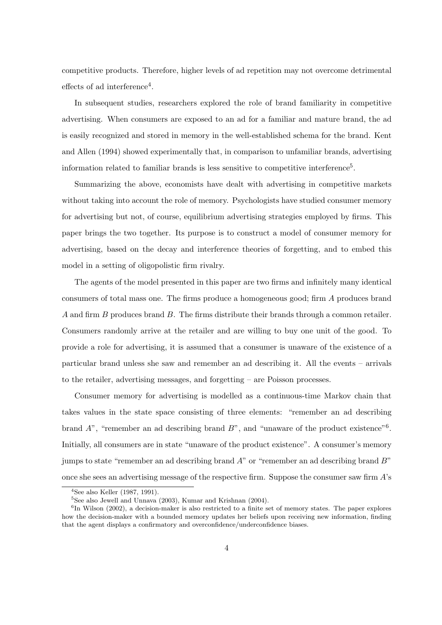competitive products. Therefore, higher levels of ad repetition may not overcome detrimental effects of ad interference<sup>4</sup>.

In subsequent studies, researchers explored the role of brand familiarity in competitive advertising. When consumers are exposed to an ad for a familiar and mature brand, the ad is easily recognized and stored in memory in the well-established schema for the brand. Kent and Allen (1994) showed experimentally that, in comparison to unfamiliar brands, advertising information related to familiar brands is less sensitive to competitive interference<sup>5</sup>.

Summarizing the above, economists have dealt with advertising in competitive markets without taking into account the role of memory. Psychologists have studied consumer memory for advertising but not, of course, equilibrium advertising strategies employed by firms. This paper brings the two together. Its purpose is to construct a model of consumer memory for advertising, based on the decay and interference theories of forgetting, and to embed this model in a setting of oligopolistic firm rivalry.

The agents of the model presented in this paper are two firms and infinitely many identical consumers of total mass one. The firms produce a homogeneous good; firm A produces brand A and firm B produces brand B. The firms distribute their brands through a common retailer. Consumers randomly arrive at the retailer and are willing to buy one unit of the good. To provide a role for advertising, it is assumed that a consumer is unaware of the existence of a particular brand unless she saw and remember an ad describing it. All the events – arrivals to the retailer, advertising messages, and forgetting – are Poisson processes.

Consumer memory for advertising is modelled as a continuous-time Markov chain that takes values in the state space consisting of three elements: "remember an ad describing brand  $A$ ", "remember an ad describing brand  $B$ ", and "unaware of the product existence"<sup>6</sup>. Initially, all consumers are in state "unaware of the product existence". A consumer's memory jumps to state "remember an ad describing brand  $A$ " or "remember an ad describing brand  $B$ " once she sees an advertising message of the respective firm. Suppose the consumer saw firm A's

 $4$ See also Keller (1987, 1991).

<sup>&</sup>lt;sup>5</sup>See also Jewell and Unnava (2003), Kumar and Krishnan (2004).

<sup>&</sup>lt;sup>6</sup>In Wilson (2002), a decision-maker is also restricted to a finite set of memory states. The paper explores how the decision-maker with a bounded memory updates her beliefs upon receiving new information, finding that the agent displays a confirmatory and overconfidence/underconfidence biases.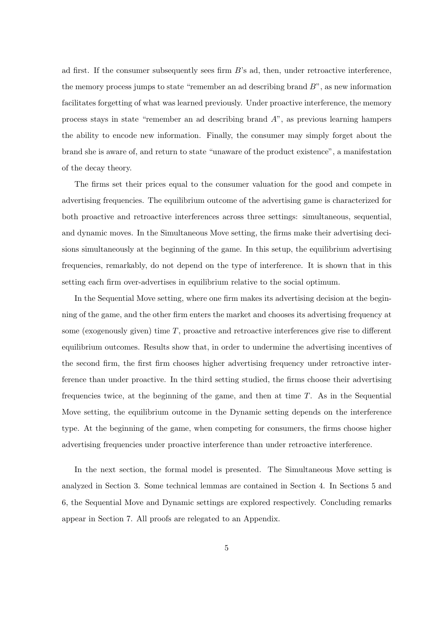ad first. If the consumer subsequently sees firm B's ad, then, under retroactive interference, the memory process jumps to state "remember an ad describing brand  $B$ ", as new information facilitates forgetting of what was learned previously. Under proactive interference, the memory process stays in state "remember an ad describing brand A", as previous learning hampers the ability to encode new information. Finally, the consumer may simply forget about the brand she is aware of, and return to state "unaware of the product existence", a manifestation of the decay theory.

The firms set their prices equal to the consumer valuation for the good and compete in advertising frequencies. The equilibrium outcome of the advertising game is characterized for both proactive and retroactive interferences across three settings: simultaneous, sequential, and dynamic moves. In the Simultaneous Move setting, the firms make their advertising decisions simultaneously at the beginning of the game. In this setup, the equilibrium advertising frequencies, remarkably, do not depend on the type of interference. It is shown that in this setting each firm over-advertises in equilibrium relative to the social optimum.

In the Sequential Move setting, where one firm makes its advertising decision at the beginning of the game, and the other firm enters the market and chooses its advertising frequency at some (exogenously given) time  $T$ , proactive and retroactive interferences give rise to different equilibrium outcomes. Results show that, in order to undermine the advertising incentives of the second firm, the first firm chooses higher advertising frequency under retroactive interference than under proactive. In the third setting studied, the firms choose their advertising frequencies twice, at the beginning of the game, and then at time  $T$ . As in the Sequential Move setting, the equilibrium outcome in the Dynamic setting depends on the interference type. At the beginning of the game, when competing for consumers, the firms choose higher advertising frequencies under proactive interference than under retroactive interference.

In the next section, the formal model is presented. The Simultaneous Move setting is analyzed in Section 3. Some technical lemmas are contained in Section 4. In Sections 5 and 6, the Sequential Move and Dynamic settings are explored respectively. Concluding remarks appear in Section 7. All proofs are relegated to an Appendix.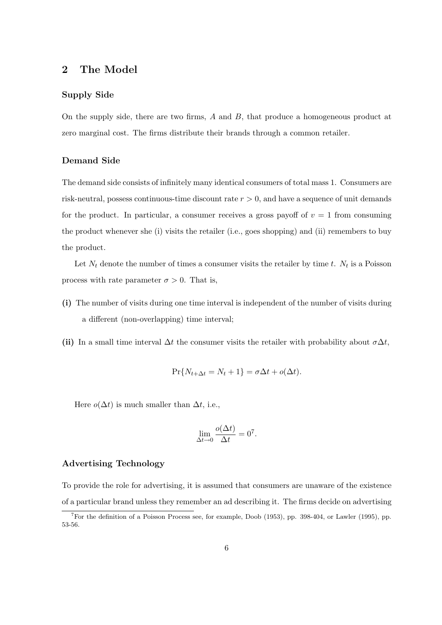# 2 The Model

#### Supply Side

On the supply side, there are two firms, A and B, that produce a homogeneous product at zero marginal cost. The firms distribute their brands through a common retailer.

#### Demand Side

The demand side consists of infinitely many identical consumers of total mass 1. Consumers are risk-neutral, possess continuous-time discount rate  $r > 0$ , and have a sequence of unit demands for the product. In particular, a consumer receives a gross payoff of  $v = 1$  from consuming the product whenever she (i) visits the retailer (i.e., goes shopping) and (ii) remembers to buy the product.

Let  $N_t$  denote the number of times a consumer visits the retailer by time t.  $N_t$  is a Poisson process with rate parameter  $\sigma > 0$ . That is,

- (i) The number of visits during one time interval is independent of the number of visits during a different (non-overlapping) time interval;
- (ii) In a small time interval  $\Delta t$  the consumer visits the retailer with probability about  $\sigma \Delta t$ ,

$$
\Pr\{N_{t+\Delta t} = N_t + 1\} = \sigma \Delta t + o(\Delta t).
$$

Here  $o(\Delta t)$  is much smaller than  $\Delta t$ , i.e.,

$$
\lim_{\Delta t \to 0} \frac{o(\Delta t)}{\Delta t} = 0^7.
$$

#### Advertising Technology

To provide the role for advertising, it is assumed that consumers are unaware of the existence of a particular brand unless they remember an ad describing it. The firms decide on advertising

<sup>&</sup>lt;sup>7</sup>For the definition of a Poisson Process see, for example, Doob (1953), pp. 398-404, or Lawler (1995), pp. 53-56.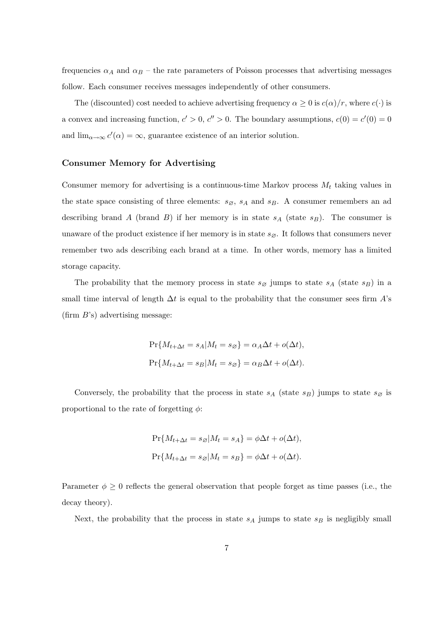frequencies  $\alpha_A$  and  $\alpha_B$  – the rate parameters of Poisson processes that advertising messages follow. Each consumer receives messages independently of other consumers.

The (discounted) cost needed to achieve advertising frequency  $\alpha \geq 0$  is  $c(\alpha)/r$ , where  $c(\cdot)$  is a convex and increasing function,  $c' > 0$ ,  $c'' > 0$ . The boundary assumptions,  $c(0) = c'(0) = 0$ and  $\lim_{\alpha \to \infty} c'(\alpha) = \infty$ , guarantee existence of an interior solution.

#### Consumer Memory for Advertising

Consumer memory for advertising is a continuous-time Markov process  $M_t$  taking values in the state space consisting of three elements:  $s_{\varnothing}$ ,  $s_A$  and  $s_B$ . A consumer remembers an ad describing brand A (brand B) if her memory is in state  $s_A$  (state  $s_B$ ). The consumer is unaware of the product existence if her memory is in state  $s_{\varnothing}$ . It follows that consumers never remember two ads describing each brand at a time. In other words, memory has a limited storage capacity.

The probability that the memory process in state  $s_{\varnothing}$  jumps to state  $s_A$  (state  $s_B$ ) in a small time interval of length  $\Delta t$  is equal to the probability that the consumer sees firm A's  $(firm B's)$  advertising message:

$$
\Pr\{M_{t+\Delta t} = s_A | M_t = s_{\emptyset}\} = \alpha_A \Delta t + o(\Delta t),
$$
  

$$
\Pr\{M_{t+\Delta t} = s_B | M_t = s_{\emptyset}\} = \alpha_B \Delta t + o(\Delta t).
$$

Conversely, the probability that the process in state  $s_A$  (state  $s_B$ ) jumps to state  $s_{\emptyset}$  is proportional to the rate of forgetting  $\phi$ :

$$
\Pr\{M_{t+\Delta t} = s_{\emptyset} | M_t = s_A\} = \phi \Delta t + o(\Delta t),
$$
  

$$
\Pr\{M_{t+\Delta t} = s_{\emptyset} | M_t = s_B\} = \phi \Delta t + o(\Delta t).
$$

Parameter  $\phi \geq 0$  reflects the general observation that people forget as time passes (i.e., the decay theory).

Next, the probability that the process in state  $s_A$  jumps to state  $s_B$  is negligibly small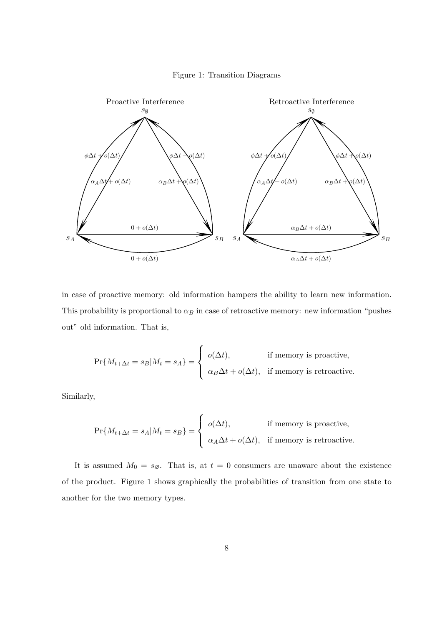#### Figure 1: Transition Diagrams



in case of proactive memory: old information hampers the ability to learn new information. This probability is proportional to  $\alpha_B$  in case of retroactive memory: new information "pushes" out" old information. That is,

$$
\Pr\{M_{t+\Delta t}=s_B|M_t=s_A\}=\left\{\begin{array}{ll} o(\Delta t), & \text{if memory is proactive},\\[2mm] \alpha_B\Delta t+o(\Delta t), & \text{if memory is retroactive}. \end{array}\right.
$$

Similarly,

$$
\Pr\{M_{t+\Delta t} = s_A | M_t = s_B\} = \begin{cases} o(\Delta t), & \text{if memory is proactive,} \\ \alpha_A \Delta t + o(\Delta t), & \text{if memory is retroactive.} \end{cases}
$$

It is assumed  $M_0 = s_{\emptyset}$ . That is, at  $t = 0$  consumers are unaware about the existence of the product. Figure 1 shows graphically the probabilities of transition from one state to another for the two memory types.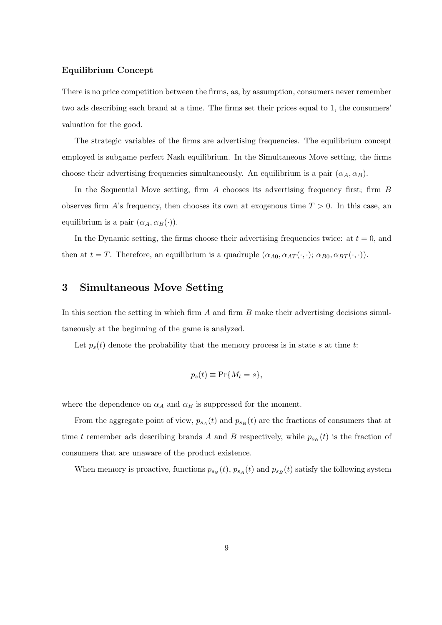#### Equilibrium Concept

There is no price competition between the firms, as, by assumption, consumers never remember two ads describing each brand at a time. The firms set their prices equal to 1, the consumers' valuation for the good.

The strategic variables of the firms are advertising frequencies. The equilibrium concept employed is subgame perfect Nash equilibrium. In the Simultaneous Move setting, the firms choose their advertising frequencies simultaneously. An equilibrium is a pair  $(\alpha_A, \alpha_B)$ .

In the Sequential Move setting, firm A chooses its advertising frequency first; firm B observes firm A's frequency, then chooses its own at exogenous time  $T > 0$ . In this case, an equilibrium is a pair  $(\alpha_A, \alpha_B(\cdot))$ .

In the Dynamic setting, the firms choose their advertising frequencies twice: at  $t = 0$ , and then at  $t = T$ . Therefore, an equilibrium is a quadruple  $(\alpha_{A0}, \alpha_{AT}(\cdot, \cdot); \alpha_{B0}, \alpha_{BT}(\cdot, \cdot)).$ 

## 3 Simultaneous Move Setting

In this section the setting in which firm  $A$  and firm  $B$  make their advertising decisions simultaneously at the beginning of the game is analyzed.

Let  $p_s(t)$  denote the probability that the memory process is in state s at time t:

$$
p_s(t) \equiv \Pr\{M_t = s\},\
$$

where the dependence on  $\alpha_A$  and  $\alpha_B$  is suppressed for the moment.

From the aggregate point of view,  $p_{s_A}(t)$  and  $p_{s_B}(t)$  are the fractions of consumers that at time t remember ads describing brands A and B respectively, while  $p_{s_{\mathcal{B}}}(t)$  is the fraction of consumers that are unaware of the product existence.

When memory is proactive, functions  $p_{s_{\beta}}(t)$ ,  $p_{s_A}(t)$  and  $p_{s_B}(t)$  satisfy the following system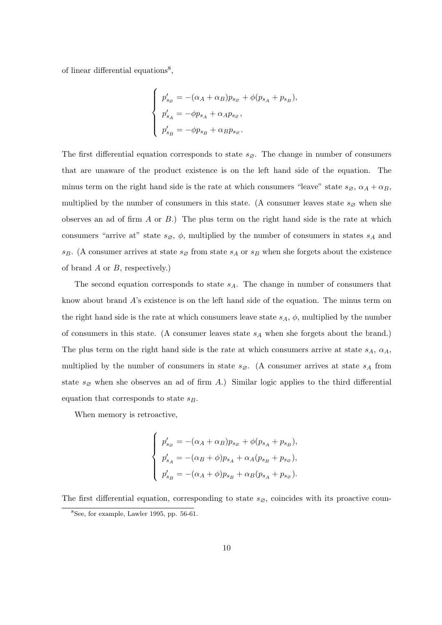of linear differential equations<sup>8</sup>,

$$
\left\{ \begin{array}{l} p_{s_{\varnothing}}' = -(\alpha_A + \alpha_B) p_{s_{\varnothing}} + \phi(p_{s_A} + p_{s_B}), \vspace{.1truecm} \\ p_{s_A}' = -\phi p_{s_A} + \alpha_A p_{s_{\varnothing}}, \vspace{.1truecm} \\ p_{s_B}' = -\phi p_{s_B} + \alpha_B p_{s_{\varnothing}}. \end{array} \right.
$$

The first differential equation corresponds to state  $s_{\emptyset}$ . The change in number of consumers that are unaware of the product existence is on the left hand side of the equation. The minus term on the right hand side is the rate at which consumers "leave" state  $s_{\emptyset}$ ,  $\alpha_A + \alpha_B$ , multiplied by the number of consumers in this state. (A consumer leaves state  $s_{\varnothing}$  when she observes an ad of firm  $A$  or  $B$ .) The plus term on the right hand side is the rate at which consumers "arrive at" state  $s_{\emptyset}$ ,  $\phi$ , multiplied by the number of consumers in states  $s_A$  and s<sub>B</sub>. (A consumer arrives at state  $s_{\alpha}$  from state  $s_A$  or  $s_B$  when she forgets about the existence of brand  $A$  or  $B$ , respectively.)

The second equation corresponds to state  $s_A$ . The change in number of consumers that know about brand A's existence is on the left hand side of the equation. The minus term on the right hand side is the rate at which consumers leave state  $s_A$ ,  $\phi$ , multiplied by the number of consumers in this state. (A consumer leaves state  $s_A$  when she forgets about the brand.) The plus term on the right hand side is the rate at which consumers arrive at state  $s_A$ ,  $\alpha_A$ , multiplied by the number of consumers in state  $s_{\emptyset}$ . (A consumer arrives at state  $s_A$  from state  $s_{\emptyset}$  when she observes an ad of firm A.) Similar logic applies to the third differential equation that corresponds to state  $s_B$ .

When memory is retroactive,

 $\overline{a}$ 

$$
\begin{cases}\np'_{s_{\varnothing}} = -(\alpha_A + \alpha_B)p_{s_{\varnothing}} + \phi(p_{s_A} + p_{s_B}), \\
p'_{s_A} = -(\alpha_B + \phi)p_{s_A} + \alpha_A(p_{s_B} + p_{s_{\varnothing}}), \\
p'_{s_B} = -(\alpha_A + \phi)p_{s_B} + \alpha_B(p_{s_A} + p_{s_{\varnothing}}).\n\end{cases}
$$

The first differential equation, corresponding to state  $s_{\varnothing}$ , coincides with its proactive coun-<sup>8</sup>See, for example, Lawler 1995, pp. 56-61.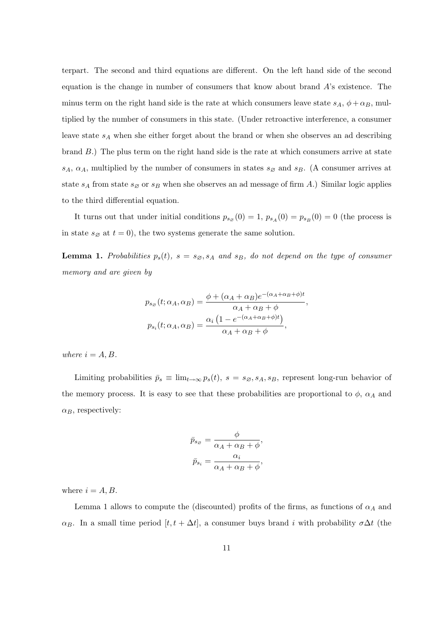terpart. The second and third equations are different. On the left hand side of the second equation is the change in number of consumers that know about brand  $A$ 's existence. The minus term on the right hand side is the rate at which consumers leave state  $s_A$ ,  $\phi + \alpha_B$ , multiplied by the number of consumers in this state. (Under retroactive interference, a consumer leave state  $s_A$  when she either forget about the brand or when she observes an ad describing brand  $B$ .) The plus term on the right hand side is the rate at which consumers arrive at state  $s_A$ ,  $\alpha_A$ , multiplied by the number of consumers in states  $s_{\varnothing}$  and  $s_B$ . (A consumer arrives at state  $s_A$  from state  $s_{\emptyset}$  or  $s_B$  when she observes an ad message of firm A.) Similar logic applies to the third differential equation.

It turns out that under initial conditions  $p_{s_{\beta}}(0) = 1$ ,  $p_{s_A}(0) = p_{s_B}(0) = 0$  (the process is in state  $s_{\emptyset}$  at  $t = 0$ , the two systems generate the same solution.

**Lemma 1.** Probabilities  $p_s(t)$ ,  $s = s_{\emptyset}$ ,  $s_A$  and  $s_B$ , do not depend on the type of consumer memory and are given by

$$
p_{s_{\varnothing}}(t; \alpha_A, \alpha_B) = \frac{\phi + (\alpha_A + \alpha_B)e^{-(\alpha_A + \alpha_B + \phi)t}}{\alpha_A + \alpha_B + \phi}
$$

$$
p_{s_i}(t; \alpha_A, \alpha_B) = \frac{\alpha_i (1 - e^{-(\alpha_A + \alpha_B + \phi)t})}{\alpha_A + \alpha_B + \phi},
$$

,

where  $i = A, B$ .

Limiting probabilities  $\bar{p}_s \equiv \lim_{t\to\infty} p_s(t)$ ,  $s = s_{\varnothing}, s_A, s_B$ , represent long-run behavior of the memory process. It is easy to see that these probabilities are proportional to  $\phi$ ,  $\alpha_A$  and  $\alpha_B$ , respectively:

$$
\bar{p}_{s_{\varnothing}} = \frac{\phi}{\alpha_A + \alpha_B + \phi},
$$

$$
\bar{p}_{s_i} = \frac{\alpha_i}{\alpha_A + \alpha_B + \phi},
$$

where  $i = A, B$ .

Lemma 1 allows to compute the (discounted) profits of the firms, as functions of  $\alpha_A$  and  $\alpha_B$ . In a small time period  $[t, t + \Delta t]$ , a consumer buys brand i with probability  $\sigma \Delta t$  (the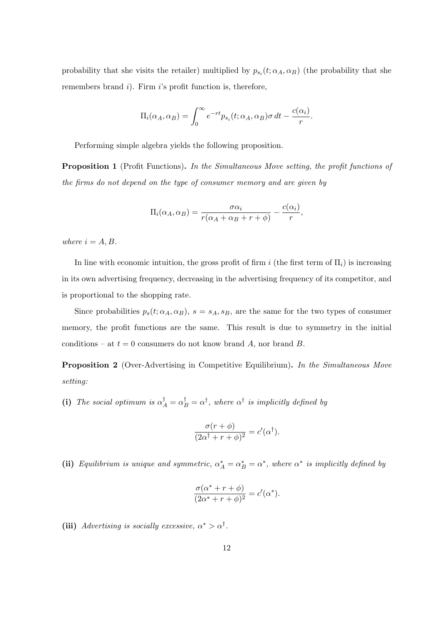probability that she visits the retailer) multiplied by  $p_{s_i}(t; \alpha_A, \alpha_B)$  (the probability that she remembers brand  $i$ ). Firm  $i$ 's profit function is, therefore,

$$
\Pi_i(\alpha_A, \alpha_B) = \int_0^\infty e^{-rt} p_{s_i}(t; \alpha_A, \alpha_B) \sigma dt - \frac{c(\alpha_i)}{r}.
$$

Performing simple algebra yields the following proposition.

**Proposition 1** (Profit Functions). In the Simultaneous Move setting, the profit functions of the firms do not depend on the type of consumer memory and are given by

$$
\Pi_i(\alpha_A, \alpha_B) = \frac{\sigma \alpha_i}{r(\alpha_A + \alpha_B + r + \phi)} - \frac{c(\alpha_i)}{r},
$$

where  $i = A, B$ .

In line with economic intuition, the gross profit of firm i (the first term of  $\Pi_i$ ) is increasing in its own advertising frequency, decreasing in the advertising frequency of its competitor, and is proportional to the shopping rate.

Since probabilities  $p_s(t; \alpha_A, \alpha_B)$ ,  $s = s_A, s_B$ , are the same for the two types of consumer memory, the profit functions are the same. This result is due to symmetry in the initial conditions – at  $t = 0$  consumers do not know brand A, nor brand B.

**Proposition 2** (Over-Advertising in Competitive Equilibrium). In the Simultaneous Move setting:

(i) The social optimum is  $\alpha_A^{\dagger} = \alpha_B^{\dagger} = \alpha^{\dagger}$ , where  $\alpha^{\dagger}$  is implicitly defined by

$$
\frac{\sigma(r+\phi)}{(2\alpha^{\dagger}+r+\phi)^2} = c'(\alpha^{\dagger}).
$$

(ii) Equilibrium is unique and symmetric,  $\alpha_A^* = \alpha_B^* = \alpha^*$ , where  $\alpha^*$  is implicitly defined by

$$
\frac{\sigma(\alpha^* + r + \phi)}{(2\alpha^* + r + \phi)^2} = c'(\alpha^*).
$$

(iii) Advertising is socially excessive,  $\alpha^* > \alpha^{\dagger}$ .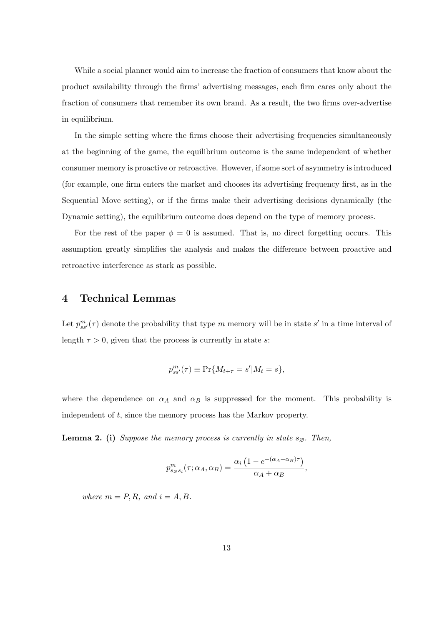While a social planner would aim to increase the fraction of consumers that know about the product availability through the firms' advertising messages, each firm cares only about the fraction of consumers that remember its own brand. As a result, the two firms over-advertise in equilibrium.

In the simple setting where the firms choose their advertising frequencies simultaneously at the beginning of the game, the equilibrium outcome is the same independent of whether consumer memory is proactive or retroactive. However, if some sort of asymmetry is introduced (for example, one firm enters the market and chooses its advertising frequency first, as in the Sequential Move setting), or if the firms make their advertising decisions dynamically (the Dynamic setting), the equilibrium outcome does depend on the type of memory process.

For the rest of the paper  $\phi = 0$  is assumed. That is, no direct forgetting occurs. This assumption greatly simplifies the analysis and makes the difference between proactive and retroactive interference as stark as possible.

## 4 Technical Lemmas

Let  $p_{ss'}^m(\tau)$  denote the probability that type m memory will be in state s' in a time interval of length  $\tau > 0$ , given that the process is currently in state s:

$$
p_{ss'}^m(\tau) \equiv \Pr\{M_{t+\tau} = s'|M_t = s\},\
$$

where the dependence on  $\alpha_A$  and  $\alpha_B$  is suppressed for the moment. This probability is independent of t, since the memory process has the Markov property.

**Lemma 2. (i)** Suppose the memory process is currently in state  $s_{\emptyset}$ . Then,

$$
p_{s_{\varnothing}s_i}^m(\tau;\alpha_A,\alpha_B) = \frac{\alpha_i \left(1 - e^{-(\alpha_A + \alpha_B)\tau}\right)}{\alpha_A + \alpha_B},
$$

where  $m = P, R$ , and  $i = A, B$ .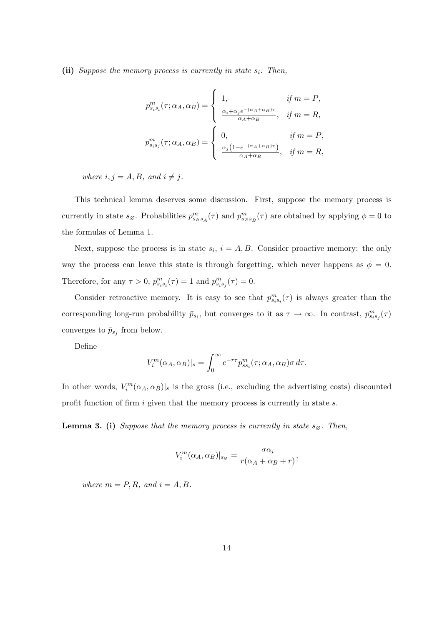(ii) Suppose the memory process is currently in state  $s_i$ . Then,

$$
p_{s_is_i}^m(\tau;\alpha_A,\alpha_B) = \begin{cases} 1, & \text{if } m = P, \\ \frac{\alpha_i + \alpha_j e^{-(\alpha_A + \alpha_B)\tau}}{\alpha_A + \alpha_B}, & \text{if } m = R, \end{cases}
$$
  

$$
p_{s_is_j}^m(\tau;\alpha_A,\alpha_B) = \begin{cases} 0, & \text{if } m = P, \\ \frac{\alpha_j(1 - e^{-(\alpha_A + \alpha_B)\tau})}{\alpha_A + \alpha_B}, & \text{if } m = R, \end{cases}
$$

where  $i, j = A, B, and i \neq j$ .

This technical lemma deserves some discussion. First, suppose the memory process is currently in state  $s_{\emptyset}$ . Probabilities  $p_{s_{\emptyset} s_A}^m(\tau)$  and  $p_{s_{\emptyset} s_B}^m(\tau)$  are obtained by applying  $\phi = 0$  to the formulas of Lemma 1.

Next, suppose the process is in state  $s_i$ ,  $i = A, B$ . Consider proactive memory: the only way the process can leave this state is through forgetting, which never happens as  $\phi = 0$ . Therefore, for any  $\tau > 0$ ,  $p_{s_i s_i}^m(\tau) = 1$  and  $p_{s_i s_j}^m(\tau) = 0$ .

Consider retroactive memory. It is easy to see that  $p_{s_i s_i}^m(\tau)$  is always greater than the corresponding long-run probability  $\bar{p}_{s_i}$ , but converges to it as  $\tau \to \infty$ . In contrast,  $p_{s_i s_j}^m(\tau)$ converges to  $\bar{p}_{s_j}$  from below.

Define

$$
V_i^m(\alpha_A, \alpha_B)|_s = \int_0^\infty e^{-r\tau} p_{ss_i}^m(\tau; \alpha_A, \alpha_B) \sigma \, d\tau.
$$

In other words,  $V_i^m(\alpha_A, \alpha_B)|_s$  is the gross (i.e., excluding the advertising costs) discounted profit function of firm i given that the memory process is currently in state s.

**Lemma 3. (i)** Suppose that the memory process is currently in state  $s_{\varnothing}$ . Then,

$$
V_i^m(\alpha_A, \alpha_B)|_{s_{\varnothing}} = \frac{\sigma \alpha_i}{r(\alpha_A + \alpha_B + r)},
$$

where  $m = P, R$ , and  $i = A, B$ .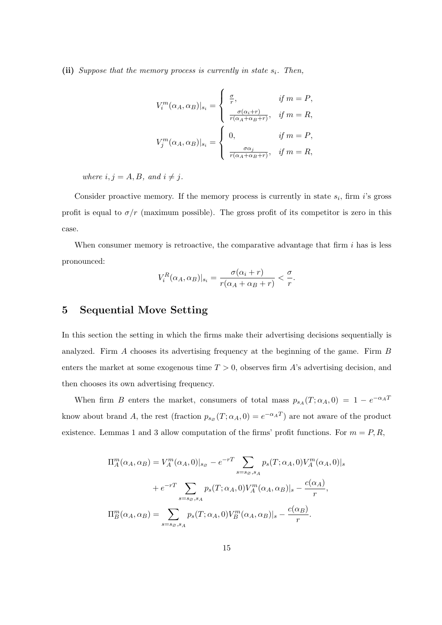(ii) Suppose that the memory process is currently in state  $s_i$ . Then,

$$
V_i^m(\alpha_A, \alpha_B)|_{s_i} = \begin{cases} \frac{\sigma}{r}, & \text{if } m = P, \\ \frac{\sigma(\alpha_i+r)}{r(\alpha_A+\alpha_B+r)}, & \text{if } m = R, \end{cases}
$$

$$
V_j^m(\alpha_A, \alpha_B)|_{s_i} = \begin{cases} 0, & \text{if } m = P, \\ \frac{\sigma\alpha_j}{r(\alpha_A+\alpha_B+r)}, & \text{if } m = R, \end{cases}
$$

where  $i, j = A, B, and i \neq j$ .

Consider proactive memory. If the memory process is currently in state  $s_i$ , firm i's gross profit is equal to  $\sigma/r$  (maximum possible). The gross profit of its competitor is zero in this case.

When consumer memory is retroactive, the comparative advantage that firm  $i$  has is less pronounced:

$$
V_i^R(\alpha_A, \alpha_B)|_{s_i} = \frac{\sigma(\alpha_i + r)}{r(\alpha_A + \alpha_B + r)} < \frac{\sigma}{r}.
$$

## 5 Sequential Move Setting

In this section the setting in which the firms make their advertising decisions sequentially is analyzed. Firm A chooses its advertising frequency at the beginning of the game. Firm B enters the market at some exogenous time  $T > 0$ , observes firm A's advertising decision, and then chooses its own advertising frequency.

When firm B enters the market, consumers of total mass  $p_{s_A}(T; \alpha_A, 0) = 1 - e^{-\alpha_A T}$ know about brand A, the rest (fraction  $p_{s_{\emptyset}}(T; \alpha_A, 0) = e^{-\alpha_A T}$ ) are not aware of the product existence. Lemmas 1 and 3 allow computation of the firms' profit functions. For  $m = P, R$ ,

$$
\Pi_A^m(\alpha_A, \alpha_B) = V_A^m(\alpha_A, 0)|_{s_{\varnothing}} - e^{-rT} \sum_{s=s_{\varnothing}, s_A} p_s(T; \alpha_A, 0) V_A^m(\alpha_A, 0)|_s
$$

$$
+ e^{-rT} \sum_{s=s_{\varnothing}, s_A} p_s(T; \alpha_A, 0) V_A^m(\alpha_A, \alpha_B)|_s - \frac{c(\alpha_A)}{r},
$$

$$
\Pi_B^m(\alpha_A, \alpha_B) = \sum_{s=s_{\varnothing}, s_A} p_s(T; \alpha_A, 0) V_B^m(\alpha_A, \alpha_B)|_s - \frac{c(\alpha_B)}{r}.
$$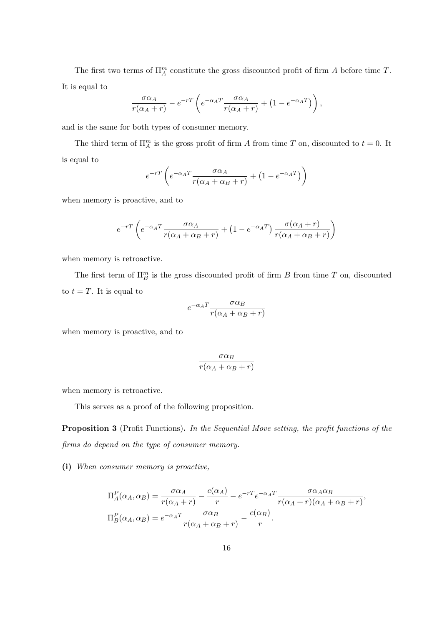The first two terms of  $\Pi^m_A$  constitute the gross discounted profit of firm A before time T. It is equal to

$$
\frac{\sigma \alpha_A}{r(\alpha_A+r)} - e^{-rT} \left( e^{-\alpha_A T} \frac{\sigma \alpha_A}{r(\alpha_A+r)} + (1 - e^{-\alpha_A T}) \right),
$$

and is the same for both types of consumer memory.

The third term of  $\Pi_A^m$  is the gross profit of firm A from time T on, discounted to  $t = 0$ . It is equal to  $\mathbf{r}$ 

$$
e^{-rT}\left(e^{-\alpha_A T}\frac{\sigma\alpha_A}{r(\alpha_A+\alpha_B+r)}+\left(1-e^{-\alpha_A T}\right)\right)
$$

when memory is proactive, and to

$$
e^{-rT} \left( e^{-\alpha_A T} \frac{\sigma \alpha_A}{r(\alpha_A + \alpha_B + r)} + (1 - e^{-\alpha_A T}) \frac{\sigma(\alpha_A + r)}{r(\alpha_A + \alpha_B + r)} \right)
$$

when memory is retroactive.

The first term of  $\Pi_{B}^{m}$  is the gross discounted profit of firm B from time T on, discounted to  $t = T$ . It is equal to

$$
e^{-\alpha_A T} \frac{\sigma \alpha_B}{r(\alpha_A + \alpha_B + r)}
$$

when memory is proactive, and to

$$
\frac{\sigma \alpha_B}{r(\alpha_A + \alpha_B + r)}
$$

when memory is retroactive.

This serves as a proof of the following proposition.

**Proposition 3** (Profit Functions). In the Sequential Move setting, the profit functions of the firms do depend on the type of consumer memory.

(i) When consumer memory is proactive,

$$
\Pi_A^P(\alpha_A, \alpha_B) = \frac{\sigma \alpha_A}{r(\alpha_A + r)} - \frac{c(\alpha_A)}{r} - e^{-rT}e^{-\alpha_A T} \frac{\sigma \alpha_A \alpha_B}{r(\alpha_A + r)(\alpha_A + \alpha_B + r)},
$$
  

$$
\Pi_B^P(\alpha_A, \alpha_B) = e^{-\alpha_A T} \frac{\sigma \alpha_B}{r(\alpha_A + \alpha_B + r)} - \frac{c(\alpha_B)}{r}.
$$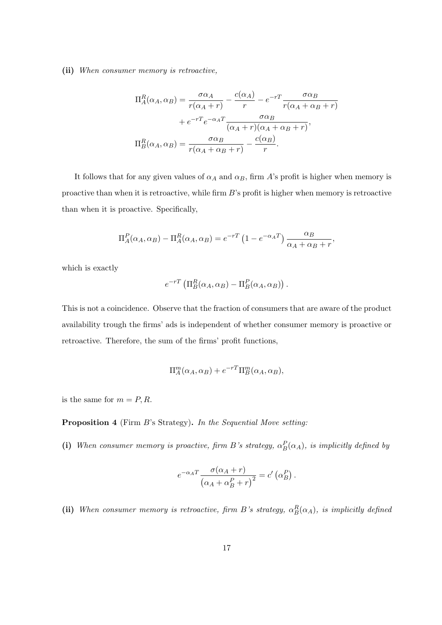(ii) When consumer memory is retroactive,

$$
\Pi_A^R(\alpha_A, \alpha_B) = \frac{\sigma \alpha_A}{r(\alpha_A + r)} - \frac{c(\alpha_A)}{r} - e^{-rT} \frac{\sigma \alpha_B}{r(\alpha_A + \alpha_B + r)}
$$

$$
+ e^{-rT} e^{-\alpha_A T} \frac{\sigma \alpha_B}{(\alpha_A + r)(\alpha_A + \alpha_B + r)},
$$

$$
\Pi_B^R(\alpha_A, \alpha_B) = \frac{\sigma \alpha_B}{r(\alpha_A + \alpha_B + r)} - \frac{c(\alpha_B)}{r}.
$$

It follows that for any given values of  $\alpha_A$  and  $\alpha_B$ , firm A's profit is higher when memory is proactive than when it is retroactive, while firm  $B$ 's profit is higher when memory is retroactive than when it is proactive. Specifically,

$$
\Pi_A^P(\alpha_A, \alpha_B) - \Pi_A^R(\alpha_A, \alpha_B) = e^{-rT} \left( 1 - e^{-\alpha_A T} \right) \frac{\alpha_B}{\alpha_A + \alpha_B + r},
$$

which is exactly

$$
e^{-rT}\left(\Pi_B^R(\alpha_A,\alpha_B) - \Pi_B^P(\alpha_A,\alpha_B)\right).
$$

This is not a coincidence. Observe that the fraction of consumers that are aware of the product availability trough the firms' ads is independent of whether consumer memory is proactive or retroactive. Therefore, the sum of the firms' profit functions,

$$
\Pi_A^m(\alpha_A, \alpha_B) + e^{-rT} \Pi_B^m(\alpha_A, \alpha_B),
$$

is the same for  $m = P, R$ .

Proposition 4 (Firm B's Strategy). In the Sequential Move setting:

(i) When consumer memory is proactive, firm B's strategy,  $\alpha_B^P(\alpha_A)$ , is implicitly defined by

$$
e^{-\alpha_A T} \frac{\sigma(\alpha_A + r)}{\left(\alpha_A + \alpha_B^P + r\right)^2} = c' \left(\alpha_B^P\right).
$$

(ii) When consumer memory is retroactive, firm B's strategy,  $\alpha_B^R(\alpha_A)$ , is implicitly defined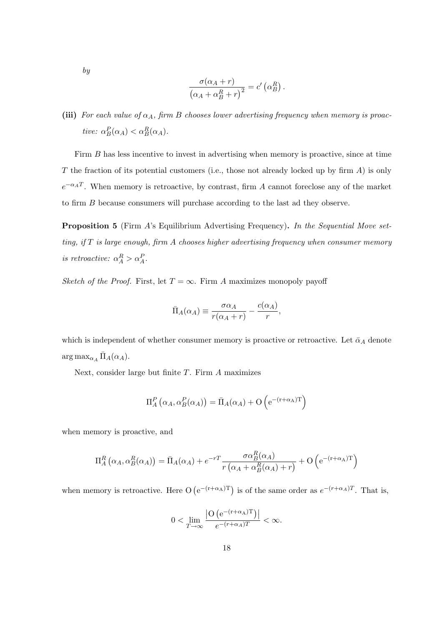$$
\frac{\sigma(\alpha_A + r)}{(\alpha_A + \alpha_B^R + r)^2} = c'(\alpha_B^R).
$$

(iii) For each value of  $\alpha_A$ , firm B chooses lower advertising frequency when memory is proactive:  $\alpha_B^P(\alpha_A) < \alpha_B^R(\alpha_A)$ .

Firm B has less incentive to invest in advertising when memory is proactive, since at time T the fraction of its potential customers (i.e., those not already locked up by firm  $A$ ) is only  $e^{-\alpha_A T}$ . When memory is retroactive, by contrast, firm A cannot foreclose any of the market to firm B because consumers will purchase according to the last ad they observe.

**Proposition 5** (Firm A's Equilibrium Advertising Frequency). In the Sequential Move setting, if  $T$  is large enough, firm  $A$  chooses higher advertising frequency when consumer memory is retroactive:  $\alpha_A^R > \alpha_A^P$ .

Sketch of the Proof. First, let  $T = \infty$ . Firm A maximizes monopoly payoff

$$
\bar{\Pi}_A(\alpha_A) \equiv \frac{\sigma \alpha_A}{r(\alpha_A + r)} - \frac{c(\alpha_A)}{r},
$$

which is independent of whether consumer memory is proactive or retroactive. Let  $\bar{\alpha}_A$  denote  $\arg \max_{\alpha_A} \bar{\Pi}_A(\alpha_A)$ .

Next, consider large but finite  $T$ . Firm  $A$  maximizes

$$
\Pi_A^P(\alpha_A, \alpha_B^P(\alpha_A)) = \bar{\Pi}_A(\alpha_A) + \mathcal{O}\left(\mathrm{e}^{-(\mathrm{r}+\alpha_A)\mathrm{T}}\right)
$$

when memory is proactive, and

$$
\Pi_A^R(\alpha_A, \alpha_B^R(\alpha_A)) = \bar{\Pi}_A(\alpha_A) + e^{-rT} \frac{\sigma \alpha_B^R(\alpha_A)}{r(\alpha_A + \alpha_B^R(\alpha_A) + r)} + O\left(e^{-(r+\alpha_A)T}\right)
$$

when memory is retroactive. Here O  $(e^{-(r+\alpha_A)T})$  is of the same order as  $e^{-(r+\alpha_A)T}$ . That is,

$$
0 < \lim_{T \to \infty} \frac{\left|O\left(e^{-(r+\alpha_A)T}\right)\right|}{e^{-(r+\alpha_A)T}} < \infty.
$$

by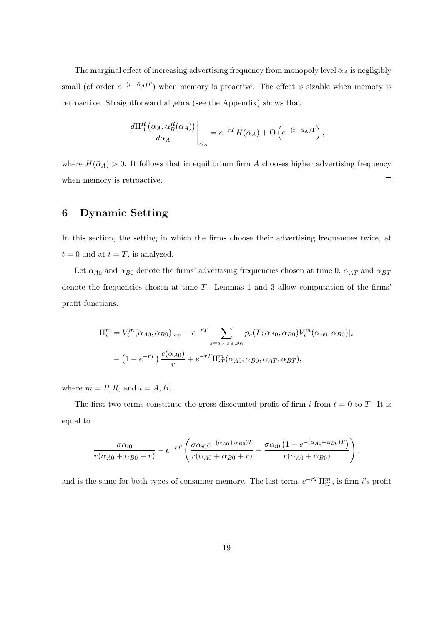The marginal effect of increasing advertising frequency from monopoly level  $\bar{\alpha}_A$  is negligibly small (of order  $e^{-(r+\bar{\alpha}_A)T}$ ) when memory is proactive. The effect is sizable when memory is retroactive. Straightforward algebra (see the Appendix) shows that

$$
\left. \frac{d\Pi_A^R \left( \alpha_A, \alpha_B^R(\alpha_A) \right)}{d\alpha_A} \right|_{\bar{\alpha}_A} = e^{-rT} H(\bar{\alpha}_A) + \mathcal{O}\left( e^{-(r+\bar{\alpha}_A)T} \right),
$$

where  $H(\bar{\alpha}_A) > 0$ . It follows that in equilibrium firm A chooses higher advertising frequency when memory is retroactive.  $\Box$ 

# 6 Dynamic Setting

In this section, the setting in which the firms choose their advertising frequencies twice, at  $t = 0$  and at  $t = T$ , is analyzed.

Let  $\alpha_{A0}$  and  $\alpha_{B0}$  denote the firms' advertising frequencies chosen at time 0;  $\alpha_{AT}$  and  $\alpha_{BT}$ denote the frequencies chosen at time  $T$ . Lemmas 1 and 3 allow computation of the firms' profit functions.

$$
\Pi_i^m = V_i^m(\alpha_{A0}, \alpha_{B0})|_{s_{\emptyset}} - e^{-rT} \sum_{s=s_{\emptyset}, s_A, s_B} p_s(T; \alpha_{A0}, \alpha_{B0}) V_i^m(\alpha_{A0}, \alpha_{B0})|_{s}
$$

$$
- (1 - e^{-rT}) \frac{c(\alpha_{A0})}{r} + e^{-rT} \Pi_{iT}^m(\alpha_{A0}, \alpha_{B0}, \alpha_{AT}, \alpha_{BT}),
$$

where  $m = P, R$ , and  $i = A, B$ .

The first two terms constitute the gross discounted profit of firm i from  $t = 0$  to T. It is equal to

$$
\frac{\sigma\alpha_{i0}}{r(\alpha_{A0}+\alpha_{B0}+r)}-e^{-rT}\left(\frac{\sigma\alpha_{i0}e^{-(\alpha_{A0}+\alpha_{B0})T}}{r(\alpha_{A0}+\alpha_{B0}+r)}+\frac{\sigma\alpha_{i0}(1-e^{-(\alpha_{A0}+\alpha_{B0})T})}{r(\alpha_{A0}+\alpha_{B0})}\right),
$$

and is the same for both types of consumer memory. The last term,  $e^{-rT}\Pi_{iT}^m$ , is firm i's profit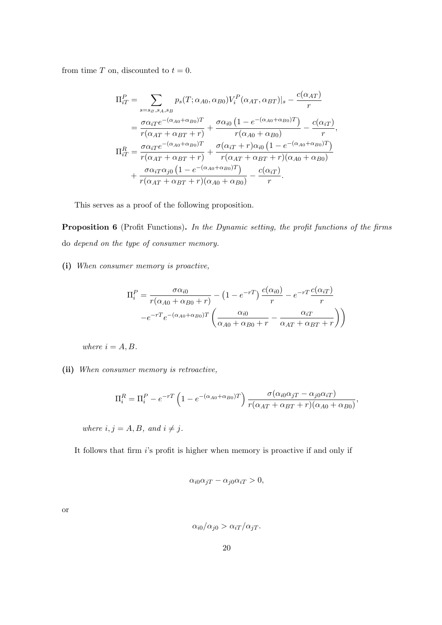from time T on, discounted to  $t = 0$ .

$$
\Pi_{iT}^P = \sum_{s=s_{\varnothing},s_A,s_B} p_s(T;\alpha_{A0},\alpha_{B0})V_i^P(\alpha_{AT},\alpha_{BT})|_s - \frac{c(\alpha_{AT})}{r}
$$
  
\n
$$
= \frac{\sigma\alpha_{iT}e^{-(\alpha_{A0}+\alpha_{B0})T}}{r(\alpha_{AT}+\alpha_{BT}+r)} + \frac{\sigma\alpha_{i0}(1-e^{-(\alpha_{A0}+\alpha_{B0})T})}{r(\alpha_{A0}+\alpha_{B0})} - \frac{c(\alpha_{iT})}{r},
$$
  
\n
$$
\Pi_{iT}^R = \frac{\sigma\alpha_{iT}e^{-(\alpha_{A0}+\alpha_{B0})T}}{r(\alpha_{AT}+\alpha_{BT}+r)} + \frac{\sigma(\alpha_{iT}+r)\alpha_{i0}(1-e^{-(\alpha_{A0}+\alpha_{B0})T})}{r(\alpha_{AT}+\alpha_{BT}+r)(\alpha_{A0}+\alpha_{B0})} + \frac{\sigma\alpha_{iT}\alpha_{j0}(1-e^{-(\alpha_{A0}+\alpha_{B0})T})}{r(\alpha_{AT}+\alpha_{BT}+r)(\alpha_{A0}+\alpha_{B0})} - \frac{c(\alpha_{iT})}{r}.
$$

This serves as a proof of the following proposition.

Proposition 6 (Profit Functions). In the Dynamic setting, the profit functions of the firms do depend on the type of consumer memory.

(i) When consumer memory is proactive,

$$
\Pi_i^P = \frac{\sigma \alpha_{i0}}{r(\alpha_{A0} + \alpha_{B0} + r)} - (1 - e^{-rT}) \frac{c(\alpha_{i0})}{r} - e^{-rT} \frac{c(\alpha_{iT})}{r}
$$

$$
-e^{-rT} e^{-(\alpha_{A0} + \alpha_{B0})T} \left( \frac{\alpha_{i0}}{\alpha_{A0} + \alpha_{B0} + r} - \frac{\alpha_{iT}}{\alpha_{AT} + \alpha_{BT} + r} \right)
$$

where  $i = A, B$ .

(ii) When consumer memory is retroactive,

$$
\Pi_i^R = \Pi_i^P - e^{-rT} \left( 1 - e^{-(\alpha_{A0} + \alpha_{B0})T} \right) \frac{\sigma(\alpha_{i0}\alpha_{jT} - \alpha_{j0}\alpha_{iT})}{r(\alpha_{AT} + \alpha_{BT} + r)(\alpha_{A0} + \alpha_{B0})},
$$

where  $i, j = A, B, and i \neq j$ .

It follows that firm i's profit is higher when memory is proactive if and only if

$$
\alpha_{i0}\alpha_{jT} - \alpha_{j0}\alpha_{iT} > 0,
$$

or

$$
\alpha_{i0}/\alpha_{j0} > \alpha_{iT}/\alpha_{jT}.
$$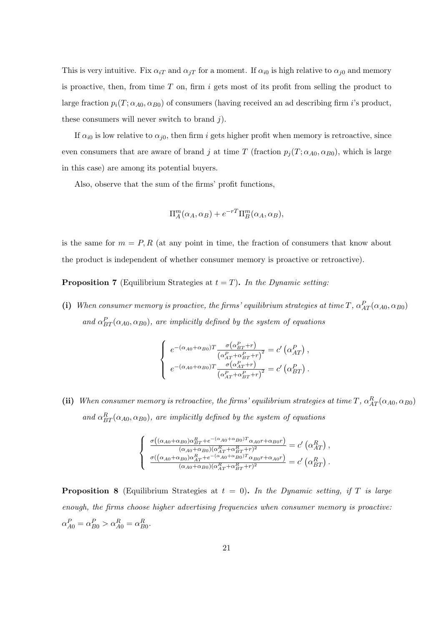This is very intuitive. Fix  $\alpha_{iT}$  and  $\alpha_{iT}$  for a moment. If  $\alpha_{i0}$  is high relative to  $\alpha_{i0}$  and memory is proactive, then, from time  $T$  on, firm i gets most of its profit from selling the product to large fraction  $p_i(T; \alpha_{A0}, \alpha_{B0})$  of consumers (having received an ad describing firm i's product, these consumers will never switch to brand  $j$ ).

If  $\alpha_{i0}$  is low relative to  $\alpha_{i0}$ , then firm i gets higher profit when memory is retroactive, since even consumers that are aware of brand j at time T (fraction  $p_j(T; \alpha_{A0}, \alpha_{B0})$ , which is large in this case) are among its potential buyers.

Also, observe that the sum of the firms' profit functions,

$$
\Pi_A^m(\alpha_A, \alpha_B) + e^{-rT} \Pi_B^m(\alpha_A, \alpha_B),
$$

is the same for  $m = P, R$  (at any point in time, the fraction of consumers that know about the product is independent of whether consumer memory is proactive or retroactive).

**Proposition 7** (Equilibrium Strategies at  $t = T$ ). In the Dynamic setting:

(i) When consumer memory is proactive, the firms' equilibrium strategies at time  $T$ ,  $\alpha_{AT}^P(\alpha_{A0}, \alpha_{B0})$ and  $\alpha_{BT}^P(\alpha_{A0}, \alpha_{B0})$ , are implicitly defined by the system of equations

$$
\begin{cases}\ne^{-(\alpha_{A0}+\alpha_{B0})T} \frac{\sigma(\alpha_{BT}^P+r)}{(\alpha_{AT}^P+\alpha_{BT}^P+r)^2} = c'(\alpha_{AT}^P), \\
e^{-(\alpha_{A0}+\alpha_{B0})T} \frac{\sigma(\alpha_{AT}^P+r)}{(\alpha_{AT}^P+\alpha_{BT}^P+r)^2} = c'(\alpha_{BT}^P).\n\end{cases}
$$

(ii) When consumer memory is retroactive, the firms' equilibrium strategies at time  $T$ ,  $\alpha_{AT}^R(\alpha_{A0}, \alpha_{B0})$ and  $\alpha_{BT}^R(\alpha_{A0}, \alpha_{B0})$ , are implicitly defined by the system of equations

$$
\begin{cases}\n\frac{\sigma((\alpha_{A0}+\alpha_{B0})\alpha_{BT}^R + e^{-(\alpha_{A0}+\alpha_{B0})T}\alpha_{A0}r + \alpha_{B0}r)}{(\alpha_{A0}+\alpha_{B0})(\alpha_{AT}^R + \alpha_{BT}^R + r)^2} = c'\left(\alpha_{AT}^R\right),\\ \n\frac{\sigma((\alpha_{A0}+\alpha_{B0})\alpha_{AT}^R + e^{-(\alpha_{A0}+\alpha_{B0})T}\alpha_{B0}r + \alpha_{A0}r)}{(\alpha_{A0}+\alpha_{B0})(\alpha_{AT}^R + \alpha_{BT}^R + r)^2} = c'\left(\alpha_{BT}^R\right).\n\end{cases}
$$

**Proposition 8** (Equilibrium Strategies at  $t = 0$ ). In the Dynamic setting, if T is large enough, the firms choose higher advertising frequencies when consumer memory is proactive:  $\alpha_{A0}^P = \alpha_{B0}^P > \alpha_{A0}^R = \alpha_{B0}^R.$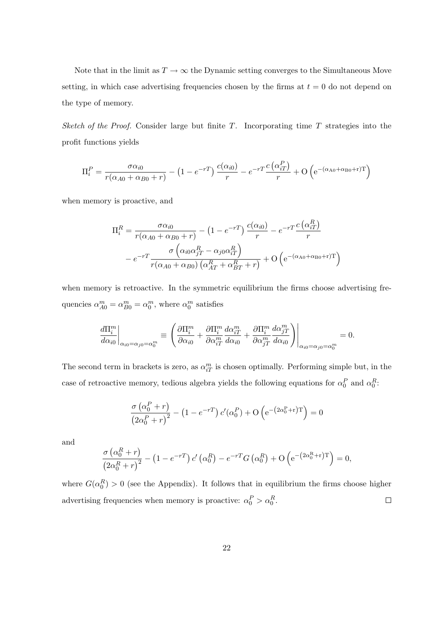Note that in the limit as  $T \to \infty$  the Dynamic setting converges to the Simultaneous Move setting, in which case advertising frequencies chosen by the firms at  $t = 0$  do not depend on the type of memory.

Sketch of the Proof. Consider large but finite  $T$ . Incorporating time  $T$  strategies into the profit functions yields

$$
\Pi_i^P = \frac{\sigma \alpha_{i0}}{r(\alpha_{A0} + \alpha_{B0} + r)} - (1 - e^{-rT}) \frac{c(\alpha_{i0})}{r} - e^{-rT} \frac{c(\alpha_{iT}^P)}{r} + O\left(e^{-(\alpha_{A0} + \alpha_{B0} + r)T}\right)
$$

when memory is proactive, and

$$
\Pi_i^R = \frac{\sigma \alpha_{i0}}{r(\alpha_{A0} + \alpha_{B0} + r)} - (1 - e^{-rT}) \frac{c(\alpha_{i0})}{r} - e^{-rT} \frac{c(\alpha_{iT}^R)}{r}
$$

$$
- e^{-rT} \frac{\sigma(\alpha_{i0} \alpha_{jT}^R - \alpha_{j0} \alpha_{iT}^R)}{r(\alpha_{A0} + \alpha_{B0}) (\alpha_{AT}^R + \alpha_{BT}^R + r)} + O(e^{-(\alpha_{A0} + \alpha_{B0} + r)T})
$$

when memory is retroactive. In the symmetric equilibrium the firms choose advertising frequencies  $\alpha_{A0}^m = \alpha_{B0}^m = \alpha_0^m$ , where  $\alpha_0^m$  satisfies

$$
\frac{d\Pi_i^m}{d\alpha_{i0}}\bigg|_{\alpha_{i0}=\alpha_{j0}=\alpha_0^m} \equiv \left(\frac{\partial\Pi_i^m}{\partial\alpha_{i0}} + \frac{\partial\Pi_i^m}{\partial\alpha_{iT}^m}\frac{d\alpha_{iT}^m}{d\alpha_{i0}} + \frac{\partial\Pi_i^m}{\partial\alpha_{jT}^m}\frac{d\alpha_{jT}^m}{d\alpha_{i0}}\right)\bigg|_{\alpha_{i0}=\alpha_{j0}=\alpha_0^m} = 0.
$$

The second term in brackets is zero, as  $\alpha_{iT}^m$  is chosen optimally. Performing simple but, in the case of retroactive memory, tedious algebra yields the following equations for  $\alpha_0^P$  and  $\alpha_0^R$ :

$$
\frac{\sigma\left(\alpha_0^P+r\right)}{\left(2\alpha_0^P+r\right)^2} - \left(1 - e^{-rT}\right)c'(\alpha_0^P) + O\left(e^{-\left(2\alpha_0^P+r\right)T}\right) = 0
$$

and

$$
\frac{\sigma\left(\alpha_0^R+r\right)}{\left(2\alpha_0^R+r\right)^2} - \left(1-e^{-rT}\right)c'\left(\alpha_0^R\right) - e^{-rT}G\left(\alpha_0^R\right) + O\left(e^{-\left(2\alpha_0^R+r\right)T}\right) = 0,
$$

where  $G(\alpha_0^R) > 0$  (see the Appendix). It follows that in equilibrium the firms choose higher advertising frequencies when memory is proactive:  $\alpha_0^P > \alpha_0^R$ .  $\Box$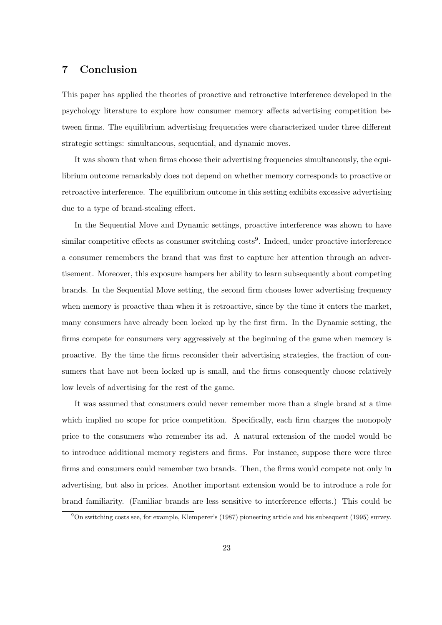# 7 Conclusion

This paper has applied the theories of proactive and retroactive interference developed in the psychology literature to explore how consumer memory affects advertising competition between firms. The equilibrium advertising frequencies were characterized under three different strategic settings: simultaneous, sequential, and dynamic moves.

It was shown that when firms choose their advertising frequencies simultaneously, the equilibrium outcome remarkably does not depend on whether memory corresponds to proactive or retroactive interference. The equilibrium outcome in this setting exhibits excessive advertising due to a type of brand-stealing effect.

In the Sequential Move and Dynamic settings, proactive interference was shown to have similar competitive effects as consumer switching costs<sup>9</sup>. Indeed, under proactive interference a consumer remembers the brand that was first to capture her attention through an advertisement. Moreover, this exposure hampers her ability to learn subsequently about competing brands. In the Sequential Move setting, the second firm chooses lower advertising frequency when memory is proactive than when it is retroactive, since by the time it enters the market, many consumers have already been locked up by the first firm. In the Dynamic setting, the firms compete for consumers very aggressively at the beginning of the game when memory is proactive. By the time the firms reconsider their advertising strategies, the fraction of consumers that have not been locked up is small, and the firms consequently choose relatively low levels of advertising for the rest of the game.

It was assumed that consumers could never remember more than a single brand at a time which implied no scope for price competition. Specifically, each firm charges the monopoly price to the consumers who remember its ad. A natural extension of the model would be to introduce additional memory registers and firms. For instance, suppose there were three firms and consumers could remember two brands. Then, the firms would compete not only in advertising, but also in prices. Another important extension would be to introduce a role for brand familiarity. (Familiar brands are less sensitive to interference effects.) This could be

<sup>9</sup>On switching costs see, for example, Klemperer's (1987) pioneering article and his subsequent (1995) survey.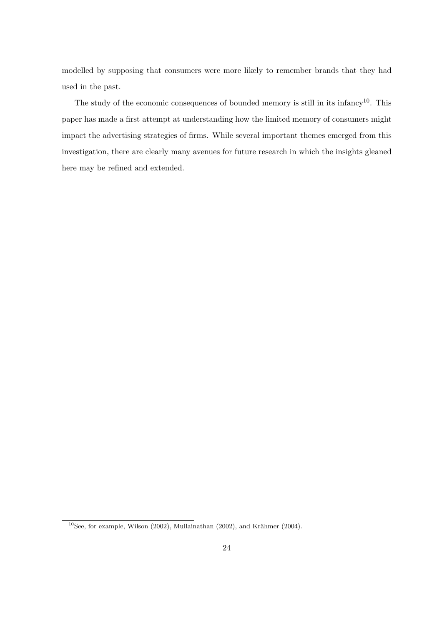modelled by supposing that consumers were more likely to remember brands that they had used in the past.

The study of the economic consequences of bounded memory is still in its infancy<sup>10</sup>. This paper has made a first attempt at understanding how the limited memory of consumers might impact the advertising strategies of firms. While several important themes emerged from this investigation, there are clearly many avenues for future research in which the insights gleaned here may be refined and extended.

 $10$ See, for example, Wilson (2002), Mullainathan (2002), and Krähmer (2004).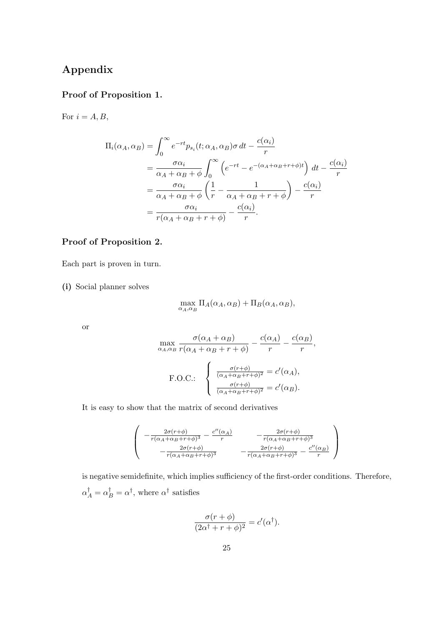# Appendix

# Proof of Proposition 1.

For  $i = A, B$ ,

$$
\Pi_i(\alpha_A, \alpha_B) = \int_0^\infty e^{-rt} p_{s_i}(t; \alpha_A, \alpha_B) \sigma \, dt - \frac{c(\alpha_i)}{r}
$$
\n
$$
= \frac{\sigma \alpha_i}{\alpha_A + \alpha_B + \phi} \int_0^\infty \left( e^{-rt} - e^{-(\alpha_A + \alpha_B + r + \phi)t} \right) dt - \frac{c(\alpha_i)}{r}
$$
\n
$$
= \frac{\sigma \alpha_i}{\alpha_A + \alpha_B + \phi} \left( \frac{1}{r} - \frac{1}{\alpha_A + \alpha_B + r + \phi} \right) - \frac{c(\alpha_i)}{r}
$$
\n
$$
= \frac{\sigma \alpha_i}{r(\alpha_A + \alpha_B + r + \phi)} - \frac{c(\alpha_i)}{r}.
$$

## Proof of Proposition 2.

Each part is proven in turn.

(i) Social planner solves

$$
\max_{\alpha_A, \alpha_B} \Pi_A(\alpha_A, \alpha_B) + \Pi_B(\alpha_A, \alpha_B),
$$

or

$$
\max_{\alpha_A, \alpha_B} \frac{\sigma(\alpha_A + \alpha_B)}{r(\alpha_A + \alpha_B + r + \phi)} - \frac{c(\alpha_A)}{r} - \frac{c(\alpha_B)}{r},
$$
  
F.O.C.:
$$
\begin{cases}\n\frac{\sigma(r+\phi)}{(\alpha_A + \alpha_B + r + \phi)^2} = c'(\alpha_A), \\
\frac{\sigma(r+\phi)}{(\alpha_A + \alpha_B + r + \phi)^2} = c'(\alpha_B).\n\end{cases}
$$

It is easy to show that the matrix of second derivatives

$$
\begin{pmatrix}\n-\frac{2\sigma(r+\phi)}{r(\alpha_A+\alpha_B+r+\phi)^3} - \frac{c''(\alpha_A)}{r} & -\frac{2\sigma(r+\phi)}{r(\alpha_A+\alpha_B+r+\phi)^3} \\
-\frac{2\sigma(r+\phi)}{r(\alpha_A+\alpha_B+r+\phi)^3} & -\frac{2\sigma(r+\phi)}{r(\alpha_A+\alpha_B+r+\phi)^3} - \frac{c''(\alpha_B)}{r}\n\end{pmatrix}
$$

is negative semidefinite, which implies sufficiency of the first-order conditions. Therefore,  $\alpha_A^{\dagger} = \alpha_B^{\dagger} = \alpha^{\dagger}$ , where  $\alpha^{\dagger}$  satisfies

$$
\frac{\sigma(r+\phi)}{(2\alpha^{\dagger}+r+\phi)^2} = c'(\alpha^{\dagger}).
$$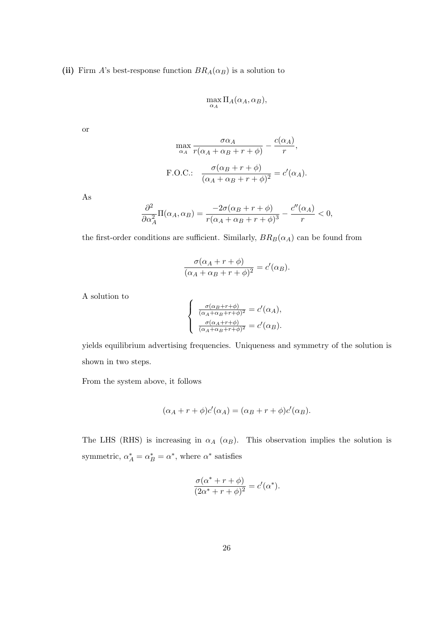# (ii) Firm A's best-response function  $BR_A(\alpha_B)$  is a solution to

$$
\max_{\alpha_A} \Pi_A(\alpha_A, \alpha_B),
$$

or

$$
\max_{\alpha_A} \frac{\sigma \alpha_A}{r(\alpha_A + \alpha_B + r + \phi)} - \frac{c(\alpha_A)}{r},
$$
  
F.O.C.: 
$$
\frac{\sigma(\alpha_B + r + \phi)}{(\alpha_A + \alpha_B + r + \phi)^2} = c'(\alpha_A).
$$

As

$$
\frac{\partial^2}{\partial \alpha_A^2} \Pi(\alpha_A, \alpha_B) = \frac{-2\sigma(\alpha_B + r + \phi)}{r(\alpha_A + \alpha_B + r + \phi)^3} - \frac{c''(\alpha_A)}{r} < 0,
$$

the first-order conditions are sufficient. Similarly,  $BR_B(\alpha_A)$  can be found from

 $\overline{a}$ 

$$
\frac{\sigma(\alpha_A + r + \phi)}{(\alpha_A + \alpha_B + r + \phi)^2} = c'(\alpha_B).
$$

A solution to

$$
\begin{cases}\n\frac{\sigma(\alpha_B+r+\phi)}{(\alpha_A+\alpha_B+r+\phi)^2} = c'(\alpha_A), \\
\frac{\sigma(\alpha_A+r+\phi)}{(\alpha_A+\alpha_B+r+\phi)^2} = c'(\alpha_B).\n\end{cases}
$$

yields equilibrium advertising frequencies. Uniqueness and symmetry of the solution is shown in two steps.

From the system above, it follows

$$
(\alpha_A + r + \phi)c'(\alpha_A) = (\alpha_B + r + \phi)c'(\alpha_B).
$$

The LHS (RHS) is increasing in  $\alpha_A$  ( $\alpha_B$ ). This observation implies the solution is symmetric,  $\alpha_A^* = \alpha_B^* = \alpha^*$ , where  $\alpha^*$  satisfies

$$
\frac{\sigma(\alpha^* + r + \phi)}{(2\alpha^* + r + \phi)^2} = c'(\alpha^*).
$$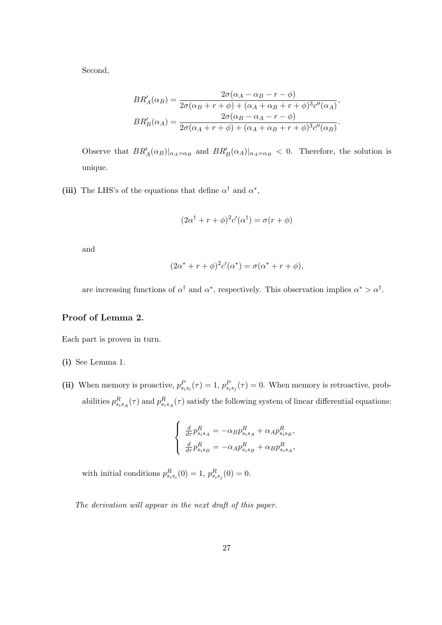Second,

$$
BR'_A(\alpha_B) = \frac{2\sigma(\alpha_A - \alpha_B - r - \phi)}{2\sigma(\alpha_B + r + \phi) + (\alpha_A + \alpha_B + r + \phi)^3 c''(\alpha_A)},
$$
  

$$
BR'_B(\alpha_A) = \frac{2\sigma(\alpha_B - \alpha_A - r - \phi)}{2\sigma(\alpha_A + r + \phi) + (\alpha_A + \alpha_B + r + \phi)^3 c''(\alpha_B)}.
$$

Observe that  $BR'_A(\alpha_B)|_{\alpha_A=\alpha_B}$  and  $BR'_B(\alpha_A)|_{\alpha_A=\alpha_B} < 0$ . Therefore, the solution is unique.

(iii) The LHS's of the equations that define  $\alpha^{\dagger}$  and  $\alpha^*$ ,

$$
(2\alpha^{\dagger} + r + \phi)^2 c'(\alpha^{\dagger}) = \sigma(r + \phi)
$$

and

$$
(2\alpha^* + r + \phi)^2 c'(\alpha^*) = \sigma(\alpha^* + r + \phi),
$$

are increasing functions of  $\alpha^{\dagger}$  and  $\alpha^*$ , respectively. This observation implies  $\alpha^* > \alpha^{\dagger}$ .

### Proof of Lemma 2.

Each part is proven in turn.

- (i) See Lemma 1.
- (ii) When memory is proactive,  $p_{s_is_i}^P(\tau) = 1$ ,  $p_{s_is_j}^P(\tau) = 0$ . When memory is retroactive, probabilities  $p_{s_is_A}^R(\tau)$  and  $p_{s_is_A}^R(\tau)$  satisfy the following system of linear differential equations:

$$
\left\{ \begin{array}{l} \frac{d}{d\tau}p_{s_is_A}^R=-\alpha_Bp_{s_is_A}^R+\alpha_Ap_{s_is_B}^R,\\ \frac{d}{d\tau}p_{s_is_B}^R=-\alpha_Ap_{s_is_B}^R+\alpha_Bp_{s_is_A}^R, \end{array} \right.
$$

with initial conditions  $p_{s_i s_i}^R(0) = 1, p_{s_i s_j}^R(0) = 0.$ 

The derivation will appear in the next draft of this paper.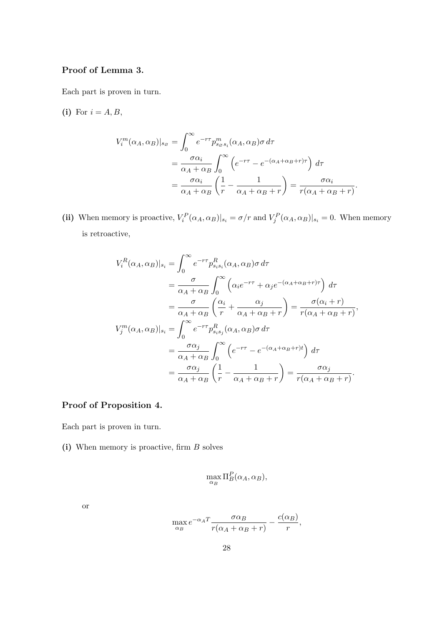# Proof of Lemma 3.

Each part is proven in turn.

(i) For  $i = A, B$ ,

$$
V_i^m(\alpha_A, \alpha_B)|_{s_{\varnothing}} = \int_0^\infty e^{-r\tau} p_{s_{\varnothing} s_i}^m(\alpha_A, \alpha_B) \sigma \, d\tau
$$
  
= 
$$
\frac{\sigma \alpha_i}{\alpha_A + \alpha_B} \int_0^\infty \left( e^{-r\tau} - e^{-(\alpha_A + \alpha_B + r)\tau} \right) \, d\tau
$$
  
= 
$$
\frac{\sigma \alpha_i}{\alpha_A + \alpha_B} \left( \frac{1}{r} - \frac{1}{\alpha_A + \alpha_B + r} \right) = \frac{\sigma \alpha_i}{r(\alpha_A + \alpha_B + r)}.
$$

(ii) When memory is proactive,  $V_i^P(\alpha_A, \alpha_B)|_{s_i} = \sigma/r$  and  $V_j^P(\alpha_A, \alpha_B)|_{s_i} = 0$ . When memory is retroactive,

$$
V_i^R(\alpha_A, \alpha_B)|_{s_i} = \int_0^\infty e^{-r\tau} p_{s_i s_i}^R(\alpha_A, \alpha_B) \sigma \, d\tau
$$
  
\n
$$
= \frac{\sigma}{\alpha_A + \alpha_B} \int_0^\infty \left( \alpha_i e^{-r\tau} + \alpha_j e^{-(\alpha_A + \alpha_B + r)\tau} \right) \, d\tau
$$
  
\n
$$
= \frac{\sigma}{\alpha_A + \alpha_B} \left( \frac{\alpha_i}{r} + \frac{\alpha_j}{\alpha_A + \alpha_B + r} \right) = \frac{\sigma(\alpha_i + r)}{r(\alpha_A + \alpha_B + r)},
$$
  
\n
$$
V_j^m(\alpha_A, \alpha_B)|_{s_i} = \int_0^\infty e^{-r\tau} p_{s_i s_j}^R(\alpha_A, \alpha_B) \sigma \, d\tau
$$
  
\n
$$
= \frac{\sigma \alpha_j}{\alpha_A + \alpha_B} \int_0^\infty \left( e^{-r\tau} - e^{-(\alpha_A + \alpha_B + r)t} \right) \, d\tau
$$
  
\n
$$
= \frac{\sigma \alpha_j}{\alpha_A + \alpha_B} \left( \frac{1}{r} - \frac{1}{\alpha_A + \alpha_B + r} \right) = \frac{\sigma \alpha_j}{r(\alpha_A + \alpha_B + r)}.
$$

### Proof of Proposition 4.

Each part is proven in turn.

(i) When memory is proactive, firm  $B$  solves

$$
\max_{\alpha_B} \Pi_B^P(\alpha_A, \alpha_B),
$$

or

$$
\max_{\alpha_B} e^{-\alpha_A T} \frac{\sigma \alpha_B}{r(\alpha_A + \alpha_B + r)} - \frac{c(\alpha_B)}{r},
$$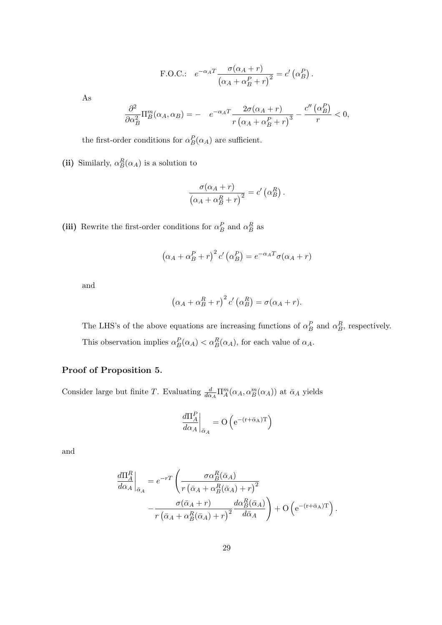F.O.C.: 
$$
e^{-\alpha_A T} \frac{\sigma(\alpha_A + r)}{(\alpha_A + \alpha_B^P + r)^2} = c'(\alpha_B^P).
$$

As

$$
\frac{\partial^2}{\partial \alpha_B^2} \Pi_B^m(\alpha_A, \alpha_B) = - \quad e^{-\alpha_A T} \frac{2\sigma(\alpha_A + r)}{r(\alpha_A + \alpha_B^P + r)^3} - \frac{c''(\alpha_B^P)}{r} < 0,
$$

the first-order conditions for  $\alpha_B^P(\alpha_A)$  are sufficient.

(ii) Similarly,  $\alpha_B^R(\alpha_A)$  is a solution to

$$
\frac{\sigma(\alpha_A + r)}{(\alpha_A + \alpha_B^R + r)^2} = c'(\alpha_B^R).
$$

(iii) Rewrite the first-order conditions for  $\alpha_B^P$  and  $\alpha_B^R$  as

$$
(\alpha_A + \alpha_B^P + r)^2 c' (\alpha_B^P) = e^{-\alpha_A T} \sigma (\alpha_A + r)
$$

and

$$
(\alpha_A + \alpha_B^R + r)^2 c' (\alpha_B^R) = \sigma(\alpha_A + r).
$$

The LHS's of the above equations are increasing functions of  $\alpha_B^P$  and  $\alpha_B^R$ , respectively. This observation implies  $\alpha_B^P(\alpha_A) < \alpha_B^R(\alpha_A)$ , for each value of  $\alpha_A$ .

## Proof of Proposition 5.

Consider large but finite T. Evaluating  $\frac{d}{d\alpha_A} \Pi_A^m(\alpha_A, \alpha_B^m(\alpha_A))$  at  $\bar{\alpha}_A$  yields

$$
\left. \frac{d\Pi_A^P}{d\alpha_A} \right|_{\bar{\alpha}_A} = \mathcal{O}\left(\mathbf{e}^{-(\mathbf{r} + \bar{\alpha}_A)\mathcal{T}}\right)
$$

and

$$
\frac{d\Pi_A^R}{d\alpha_A}\bigg|_{\bar{\alpha}_A} = e^{-rT} \left( \frac{\sigma \alpha_B^R(\bar{\alpha}_A)}{r (\bar{\alpha}_A + \alpha_B^R(\bar{\alpha}_A) + r)^2} - \frac{\sigma(\bar{\alpha}_A + r)}{r (\bar{\alpha}_A + \alpha_B^R(\bar{\alpha}_A) + r)^2} \frac{d\alpha_B^R(\bar{\alpha}_A)}{d\bar{\alpha}_A} \right) + O\left(e^{-(r+\bar{\alpha}_A)T}\right).
$$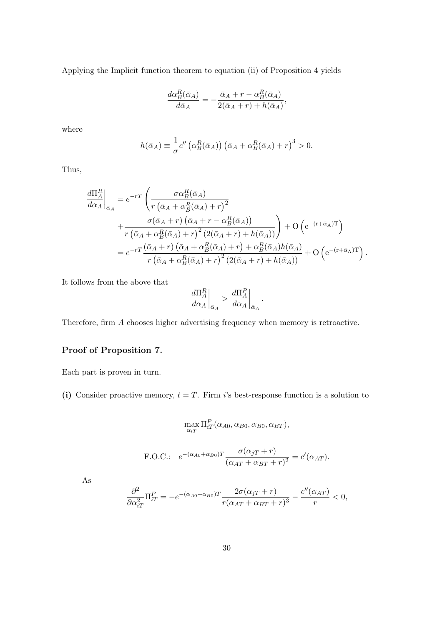Applying the Implicit function theorem to equation (ii) of Proposition 4 yields

$$
\frac{d\alpha_B^R(\bar{\alpha}_A)}{d\bar{\alpha}_A} = -\frac{\bar{\alpha}_A + r - \alpha_B^R(\bar{\alpha}_A)}{2(\bar{\alpha}_A + r) + h(\bar{\alpha}_A)},
$$

where

$$
h(\bar{\alpha}_A) \equiv \frac{1}{\sigma}c''\left(\alpha_B^R(\bar{\alpha}_A)\right)\left(\bar{\alpha}_A + \alpha_B^R(\bar{\alpha}_A) + r\right)^3 > 0.
$$

Thus,

$$
\frac{d\Pi_A^R}{d\alpha_A}\Big|_{\bar{\alpha}_A} = e^{-rT} \left( \frac{\sigma \alpha_B^R(\bar{\alpha}_A)}{r (\bar{\alpha}_A + \alpha_B^R(\bar{\alpha}_A) + r)^2} + \frac{\sigma(\bar{\alpha}_A + r) (\bar{\alpha}_A + r - \alpha_B^R(\bar{\alpha}_A))}{r (\bar{\alpha}_A + \alpha_B^R(\bar{\alpha}_A) + r)^2 (2(\bar{\alpha}_A + r) + h(\bar{\alpha}_A))} \right) + O\left(e^{-(r + \bar{\alpha}_A)T}\right) \n= e^{-rT} \frac{(\bar{\alpha}_A + r) (\bar{\alpha}_A + \alpha_B^R(\bar{\alpha}_A) + r) + \alpha_B^R(\bar{\alpha}_A)h(\bar{\alpha}_A)}{r (\bar{\alpha}_A + \alpha_B^R(\bar{\alpha}_A) + r)^2 (2(\bar{\alpha}_A + r) + h(\bar{\alpha}_A))} + O\left(e^{-(r + \bar{\alpha}_A)T}\right).
$$

It follows from the above that

$$
\left.\frac{d\Pi^R_A}{d\alpha_A}\right|_{\bar{\alpha}_A} > \left.\frac{d\Pi^P_A}{d\alpha_A}\right|_{\bar{\alpha}_A}.
$$

Therefore, firm A chooses higher advertising frequency when memory is retroactive.

## Proof of Proposition 7.

Each part is proven in turn.

(i) Consider proactive memory,  $t = T$ . Firm i's best-response function is a solution to

$$
\max_{\alpha_{iT}} \Pi_{iT}^P(\alpha_{A0}, \alpha_{B0}, \alpha_{B0}, \alpha_{BT}),
$$

F.O.C.: 
$$
e^{-(\alpha_{A0}+\alpha_{B0})T}\frac{\sigma(\alpha_{jT}+r)}{(\alpha_{AT}+\alpha_{BT}+r)^2} = c'(\alpha_{AT}).
$$

As

$$
\frac{\partial^2}{\partial \alpha_{iT}^2} \Pi_{iT}^P = -e^{-(\alpha_{A0} + \alpha_{B0})T} \frac{2\sigma(\alpha_{jT} + r)}{r(\alpha_{AT} + \alpha_{BT} + r)^3} - \frac{c''(\alpha_{AT})}{r} < 0,
$$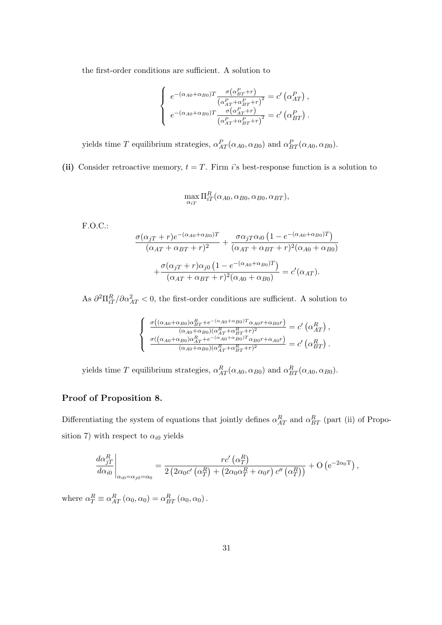the first-order conditions are sufficient. A solution to

$$
\begin{cases}\ne^{-(\alpha_{A0}+\alpha_{B0})T} \frac{\sigma(\alpha_{BT}^P+r)}{(\alpha_{AT}^P+\alpha_{BT}^P+r)^2} = c'(\alpha_{AT}^P), \\
e^{-(\alpha_{A0}+\alpha_{B0})T} \frac{\sigma(\alpha_{AT}^P+r)}{(\alpha_{AT}^P+\alpha_{BT}^P+r)^2} = c'(\alpha_{BT}^P).\n\end{cases}
$$

yields time T equilibrium strategies,  $\alpha_{AT}^P(\alpha_{A0}, \alpha_{B0})$  and  $\alpha_{BT}^P(\alpha_{A0}, \alpha_{B0})$ .

(ii) Consider retroactive memory,  $t = T$ . Firm i's best-response function is a solution to

$$
\max_{\alpha_{iT}} \Pi_{iT}^R(\alpha_{A0}, \alpha_{B0}, \alpha_{B0}, \alpha_{BT}),
$$

F.O.C.:

$$
\frac{\sigma(\alpha_{jT} + r)e^{-(\alpha_{A0} + \alpha_{B0})T}}{(\alpha_{AT} + \alpha_{BT} + r)^2} + \frac{\sigma\alpha_{jT}\alpha_{i0} (1 - e^{-(\alpha_{A0} + \alpha_{B0})T})}{(\alpha_{AT} + \alpha_{BT} + r)^2(\alpha_{A0} + \alpha_{B0})} + \frac{\sigma(\alpha_{jT} + r)\alpha_{j0} (1 - e^{-(\alpha_{A0} + \alpha_{B0})T})}{(\alpha_{AT} + \alpha_{BT} + r)^2(\alpha_{A0} + \alpha_{B0})} = c'(\alpha_{AT}).
$$

As  $\partial^2 \Pi_{iT}^R / \partial \alpha_{AT}^2 < 0$ , the first-order conditions are sufficient. A solution to

$$
\begin{cases}\n\frac{\sigma((\alpha_{A0}+\alpha_{B0})\alpha_{BT}^R + e^{-(\alpha_{A0}+\alpha_{B0})T}\alpha_{A0}r + \alpha_{B0}r)}{(\alpha_{A0}+\alpha_{B0})(\alpha_{AT}^R + \alpha_{BT}^R + r)^2} = c'\left(\alpha_{AT}^R\right),\\ \n\frac{\sigma((\alpha_{A0}+\alpha_{B0})\alpha_{AT}^R + e^{-(\alpha_{A0}+\alpha_{B0})T}\alpha_{B0}r + \alpha_{A0}r)}{(\alpha_{A0}+\alpha_{B0})(\alpha_{AT}^R + \alpha_{BT}^R + r)^2} = c'\left(\alpha_{BT}^R\right).\n\end{cases}
$$

yields time T equilibrium strategies,  $\alpha_{AT}^R(\alpha_{A0}, \alpha_{B0})$  and  $\alpha_{BT}^R(\alpha_{A0}, \alpha_{B0})$ .

### Proof of Proposition 8.

Differentiating the system of equations that jointly defines  $\alpha_{AT}^R$  and  $\alpha_{BT}^R$  (part (ii) of Proposition 7) with respect to  $\alpha_{i0}$  yields

$$
\left. \frac{d\alpha_{jT}^R}{d\alpha_{i0}} \right|_{\alpha_{i0} = \alpha_{j0} = \alpha_0} = \frac{rc'\left(\alpha_T^R\right)}{2\left(2\alpha_0c'\left(\alpha_T^R\right) + \left(2\alpha_0\alpha_T^R + \alpha_0r\right)c''\left(\alpha_T^R\right)\right)} + O\left(e^{-2\alpha_0T}\right),
$$

where  $\alpha_T^R \equiv \alpha_{AT}^R (\alpha_0, \alpha_0) = \alpha_{BT}^R (\alpha_0, \alpha_0)$ .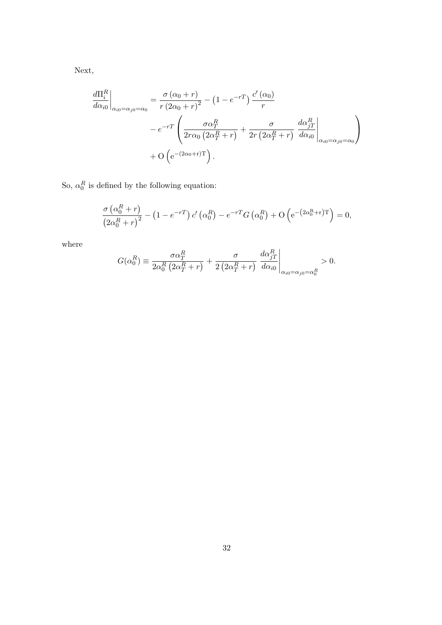Next,

$$
\frac{d\Pi_i^R}{d\alpha_{i0}}\Big|_{\alpha_{i0}=\alpha_{j0}=\alpha_0} = \frac{\sigma(\alpha_0+r)}{r(2\alpha_0+r)^2} - (1-e^{-rT})\frac{c'(\alpha_0)}{r}
$$

$$
-e^{-rT}\left(\frac{\sigma\alpha_T^R}{2r\alpha_0(2\alpha_T^R+r)} + \frac{\sigma}{2r(2\alpha_T^R+r)}\frac{d\alpha_{jT}^R}{d\alpha_{i0}}\Big|_{\alpha_{i0}=\alpha_{j0}=\alpha_0}\right)
$$

$$
+O\left(e^{-(2\alpha_0+r)T}\right).
$$

So,  $\alpha_0^R$  is defined by the following equation:

$$
\frac{\sigma\left(\alpha_0^R+r\right)}{\left(2\alpha_0^R+r\right)^2} - \left(1-e^{-rT}\right)c'\left(\alpha_0^R\right) - e^{-rT}G\left(\alpha_0^R\right) + O\left(e^{-\left(2\alpha_0^R+r\right)T}\right) = 0,
$$

where

$$
G(\alpha_0^R) \equiv \frac{\sigma \alpha_T^R}{2\alpha_0^R \left(2\alpha_T^R + r\right)} + \frac{\sigma}{2\left(2\alpha_T^R + r\right)} \left. \frac{d\alpha_{jT}^R}{d\alpha_{i0}} \right|_{\alpha_{i0} = \alpha_{j0} = \alpha_0^R} > 0.
$$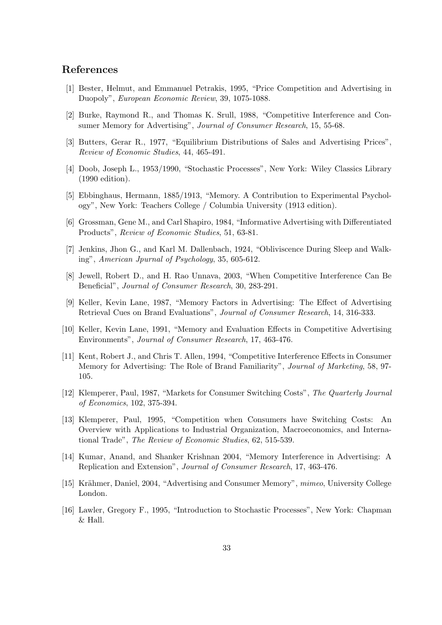# References

- [1] Bester, Helmut, and Emmanuel Petrakis, 1995, "Price Competition and Advertising in Duopoly", European Economic Review, 39, 1075-1088.
- [2] Burke, Raymond R., and Thomas K. Srull, 1988, "Competitive Interference and Consumer Memory for Advertising", Journal of Consumer Research, 15, 55-68.
- [3] Butters, Gerar R., 1977, "Equilibrium Distributions of Sales and Advertising Prices", Review of Economic Studies, 44, 465-491.
- [4] Doob, Joseph L., 1953/1990, "Stochastic Processes", New York: Wiley Classics Library (1990 edition).
- [5] Ebbinghaus, Hermann, 1885/1913, "Memory. A Contribution to Experimental Psychology", New York: Teachers College / Columbia University (1913 edition).
- [6] Grossman, Gene M., and Carl Shapiro, 1984, "Informative Advertising with Differentiated Products", Review of Economic Studies, 51, 63-81.
- [7] Jenkins, Jhon G., and Karl M. Dallenbach, 1924, "Obliviscence During Sleep and Walking", American Jpurnal of Psychology, 35, 605-612.
- [8] Jewell, Robert D., and H. Rao Unnava, 2003, "When Competitive Interference Can Be Beneficial", Journal of Consumer Research, 30, 283-291.
- [9] Keller, Kevin Lane, 1987, "Memory Factors in Advertising: The Effect of Advertising Retrieval Cues on Brand Evaluations", Journal of Consumer Research, 14, 316-333.
- [10] Keller, Kevin Lane, 1991, "Memory and Evaluation Effects in Competitive Advertising Environments", Journal of Consumer Research, 17, 463-476.
- [11] Kent, Robert J., and Chris T. Allen, 1994, "Competitive Interference Effects in Consumer Memory for Advertising: The Role of Brand Familiarity", Journal of Marketing, 58, 97- 105.
- [12] Klemperer, Paul, 1987, "Markets for Consumer Switching Costs", The Quarterly Journal of Economics, 102, 375-394.
- [13] Klemperer, Paul, 1995, "Competition when Consumers have Switching Costs: An Overview with Applications to Industrial Organization, Macroeconomics, and International Trade", The Review of Economic Studies, 62, 515-539.
- [14] Kumar, Anand, and Shanker Krishnan 2004, "Memory Interference in Advertising: A Replication and Extension", Journal of Consumer Research, 17, 463-476.
- [15] Krähmer, Daniel, 2004, "Advertising and Consumer Memory", *mimeo*, University College London.
- [16] Lawler, Gregory F., 1995, "Introduction to Stochastic Processes", New York: Chapman & Hall.